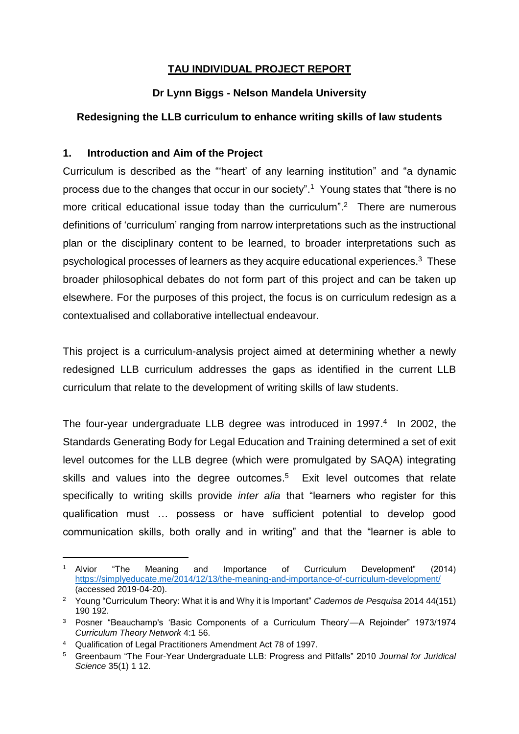## **TAU INDIVIDUAL PROJECT REPORT**

### **Dr Lynn Biggs - Nelson Mandela University**

## **Redesigning the LLB curriculum to enhance writing skills of law students**

#### **1. Introduction and Aim of the Project**

Curriculum is described as the "'heart' of any learning institution" and "a dynamic process due to the changes that occur in our society". 1 Young states that "there is no more critical educational issue today than the curriculum".<sup>2</sup> There are numerous definitions of 'curriculum' ranging from narrow interpretations such as the instructional plan or the disciplinary content to be learned, to broader interpretations such as psychological processes of learners as they acquire educational experiences. $^3$  These broader philosophical debates do not form part of this project and can be taken up elsewhere. For the purposes of this project, the focus is on curriculum redesign as a contextualised and collaborative intellectual endeavour.

This project is a curriculum-analysis project aimed at determining whether a newly redesigned LLB curriculum addresses the gaps as identified in the current LLB curriculum that relate to the development of writing skills of law students.

The four-year undergraduate LLB degree was introduced in 1997. 4 In 2002, the Standards Generating Body for Legal Education and Training determined a set of exit level outcomes for the LLB degree (which were promulgated by SAQA) integrating skills and values into the degree outcomes.<sup>5</sup> Exit level outcomes that relate specifically to writing skills provide *inter alia* that "learners who register for this qualification must … possess or have sufficient potential to develop good communication skills, both orally and in writing" and that the "learner is able to

 $\overline{a}$ 

<sup>1</sup> Alvior "The Meaning and Importance of Curriculum Development" (2014) <https://simplyeducate.me/2014/12/13/the-meaning-and-importance-of-curriculum-development/> (accessed 2019-04-20).

<sup>2</sup> Young "Curriculum Theory: What it is and Why it is Important" *Cadernos de Pesquisa* 2014 44(151) 190 192.

<sup>3</sup> Posner "Beauchamp's 'Basic Components of a Curriculum Theory'—A Rejoinder" 1973/1974 *Curriculum Theory Network* 4:1 56.

<sup>4</sup> Qualification of Legal Practitioners Amendment Act 78 of 1997.

<sup>5</sup> Greenbaum "The Four-Year Undergraduate LLB: Progress and Pitfalls" 2010 *Journal for Juridical Science* 35(1) 1 12.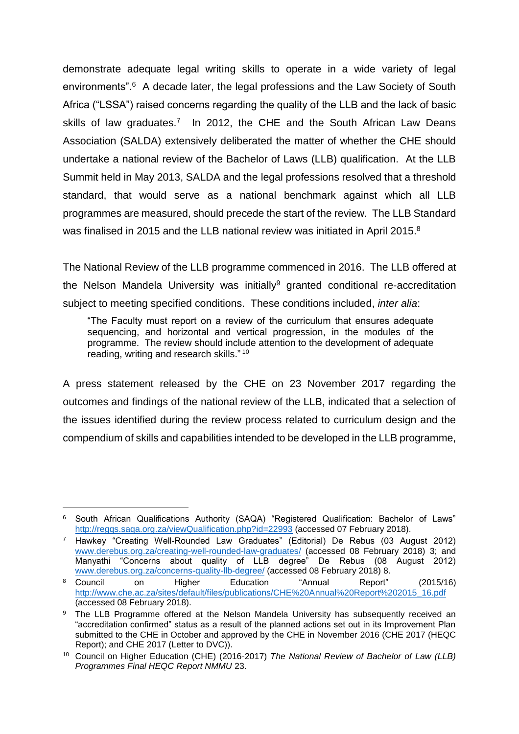demonstrate adequate legal writing skills to operate in a wide variety of legal environments".<sup>6</sup> A decade later, the legal professions and the Law Society of South Africa ("LSSA") raised concerns regarding the quality of the LLB and the lack of basic skills of law graduates.<sup>7</sup> In 2012, the CHE and the South African Law Deans Association (SALDA) extensively deliberated the matter of whether the CHE should undertake a national review of the Bachelor of Laws (LLB) qualification. At the LLB Summit held in May 2013, SALDA and the legal professions resolved that a threshold standard, that would serve as a national benchmark against which all LLB programmes are measured, should precede the start of the review. The LLB Standard was finalised in 2015 and the LLB national review was initiated in April 2015. $8$ 

The National Review of the LLB programme commenced in 2016. The LLB offered at the Nelson Mandela University was initially<sup>9</sup> granted conditional re-accreditation subject to meeting specified conditions. These conditions included, *inter alia*:

"The Faculty must report on a review of the curriculum that ensures adequate sequencing, and horizontal and vertical progression, in the modules of the programme. The review should include attention to the development of adequate reading, writing and research skills." <sup>10</sup>

A press statement released by the CHE on 23 November 2017 regarding the outcomes and findings of the national review of the LLB, indicated that a selection of the issues identified during the review process related to curriculum design and the compendium of skills and capabilities intended to be developed in the LLB programme,

l

<sup>6</sup> South African Qualifications Authority (SAQA) "Registered Qualification: Bachelor of Laws" <http://regqs.saqa.org.za/viewQualification.php?id=22993> (accessed 07 February 2018).

<sup>7</sup> Hawkey "Creating Well-Rounded Law Graduates" (Editorial) De Rebus (03 August 2012) [www.derebus.org.za/creating-well-rounded-law-graduates/](http://www.derebus.org.za/creating-well-rounded-law-graduates/) (accessed 08 February 2018) 3; and Manyathi "Concerns about quality of LLB degree" De Rebus (08 August 2012) [www.derebus.org.za/concerns-quality-llb-degree/](http://www.derebus.org.za/concerns-quality-llb-degree/) (accessed 08 February 2018) 8.

<sup>8</sup> Council on Higher Education "Annual Report" (2015/16) [http://www.che.ac.za/sites/default/files/publications/CHE%20Annual%20Report%202015\\_16.pdf](http://www.che.ac.za/sites/default/files/publications/CHE%20Annual%20Report%202015_16.pdf) (accessed 08 February 2018).

<sup>&</sup>lt;sup>9</sup> The LLB Programme offered at the Nelson Mandela University has subsequently received an "accreditation confirmed" status as a result of the planned actions set out in its Improvement Plan submitted to the CHE in October and approved by the CHE in November 2016 (CHE 2017 (HEQC Report); and CHE 2017 (Letter to DVC)).

<sup>10</sup> Council on Higher Education (CHE) (2016-2017) *The National Review of Bachelor of Law (LLB) Programmes Final HEQC Report NMMU* 23.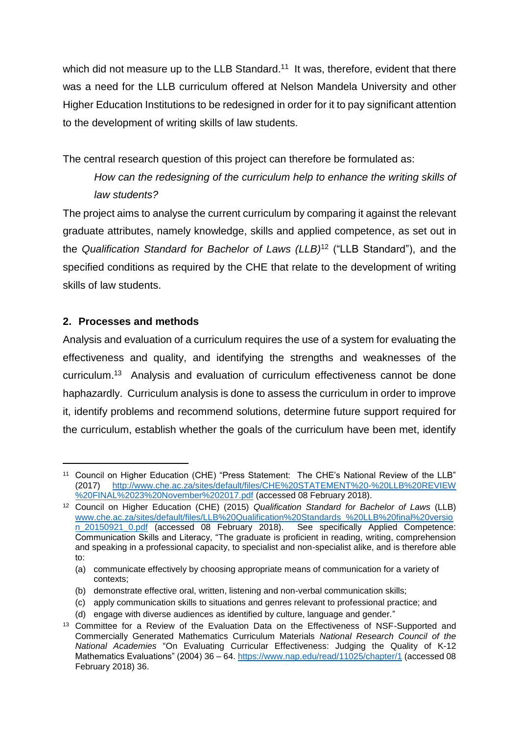which did not measure up to the LLB Standard.<sup>11</sup> It was, therefore, evident that there was a need for the LLB curriculum offered at Nelson Mandela University and other Higher Education Institutions to be redesigned in order for it to pay significant attention to the development of writing skills of law students.

The central research question of this project can therefore be formulated as:

*How can the redesigning of the curriculum help to enhance the writing skills of law students?*

The project aims to analyse the current curriculum by comparing it against the relevant graduate attributes, namely knowledge, skills and applied competence, as set out in the *Qualification Standard for Bachelor of Laws (LLB)*<sup>12</sup> ("LLB Standard"), and the specified conditions as required by the CHE that relate to the development of writing skills of law students.

# **2. Processes and methods**

l

Analysis and evaluation of a curriculum requires the use of a system for evaluating the effectiveness and quality, and identifying the strengths and weaknesses of the curriculum. 13 Analysis and evaluation of curriculum effectiveness cannot be done haphazardly. Curriculum analysis is done to assess the curriculum in order to improve it, identify problems and recommend solutions, determine future support required for the curriculum, establish whether the goals of the curriculum have been met, identify

<sup>&</sup>lt;sup>11</sup> Council on Higher Education (CHE) "Press Statement: The CHE's National Review of the LLB" (2017) [http://www.che.ac.za/sites/default/files/CHE%20STATEMENT%20-%20LLB%20REVIEW](http://www.che.ac.za/sites/default/files/CHE%20STATEMENT%20-%20LLB%20REVIEW%20FINAL%2023%20November%202017.pdf) [%20FINAL%2023%20November%202017.pdf](http://www.che.ac.za/sites/default/files/CHE%20STATEMENT%20-%20LLB%20REVIEW%20FINAL%2023%20November%202017.pdf) (accessed 08 February 2018).

<sup>12</sup> Council on Higher Education (CHE) (2015) *Qualification Standard for Bachelor of Laws* (LLB) [www.che.ac.za/sites/default/files/LLB%20Qualification%20Standards\\_%20LLB%20final%20versio](http://www.che.ac.za/sites/default/files/LLB%20Qualification%20Standards_%20LLB%20final%20version_20150921_0.pdf) [n\\_20150921\\_0.pdf](http://www.che.ac.za/sites/default/files/LLB%20Qualification%20Standards_%20LLB%20final%20version_20150921_0.pdf) (accessed 08 February 2018). See specifically Applied Competence: Communication Skills and Literacy, "The graduate is proficient in reading, writing, comprehension and speaking in a professional capacity, to specialist and non-specialist alike, and is therefore able to:

<sup>(</sup>a) communicate effectively by choosing appropriate means of communication for a variety of contexts;

<sup>(</sup>b) demonstrate effective oral, written, listening and non-verbal communication skills;

<sup>(</sup>c) apply communication skills to situations and genres relevant to professional practice; and

<sup>(</sup>d) engage with diverse audiences as identified by culture, language and gender."

<sup>&</sup>lt;sup>13</sup> Committee for a Review of the Evaluation Data on the Effectiveness of NSF-Supported and Commercially Generated Mathematics Curriculum Materials *National Research Council of the National Academies* "On Evaluating Curricular Effectiveness: Judging the Quality of K-12 Mathematics Evaluations" (2004) 36 – 64[. https://www.nap.edu/read/11025/chapter/1](https://www.nap.edu/read/11025/chapter/1) (accessed 08 February 2018) 36.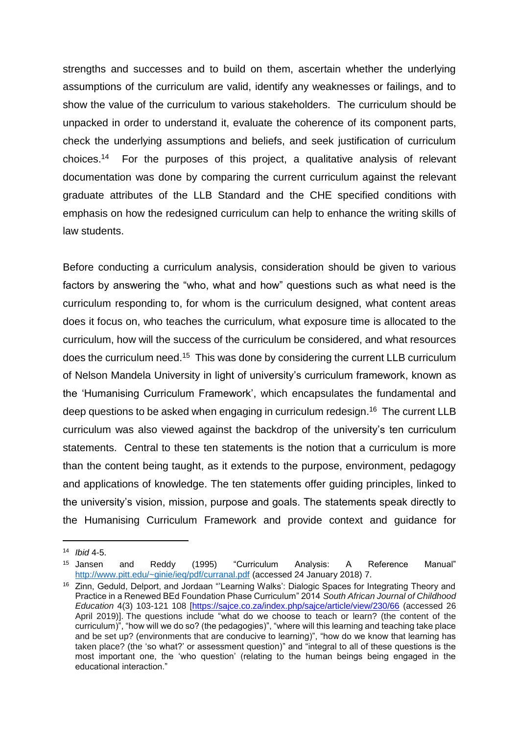strengths and successes and to build on them, ascertain whether the underlying assumptions of the curriculum are valid, identify any weaknesses or failings, and to show the value of the curriculum to various stakeholders. The curriculum should be unpacked in order to understand it, evaluate the coherence of its component parts, check the underlying assumptions and beliefs, and seek justification of curriculum choices. For the purposes of this project, a qualitative analysis of relevant documentation was done by comparing the current curriculum against the relevant graduate attributes of the LLB Standard and the CHE specified conditions with emphasis on how the redesigned curriculum can help to enhance the writing skills of law students.

Before conducting a curriculum analysis, consideration should be given to various factors by answering the "who, what and how" questions such as what need is the curriculum responding to, for whom is the curriculum designed, what content areas does it focus on, who teaches the curriculum, what exposure time is allocated to the curriculum, how will the success of the curriculum be considered, and what resources does the curriculum need.<sup>15</sup> This was done by considering the current LLB curriculum of Nelson Mandela University in light of university's curriculum framework, known as the 'Humanising Curriculum Framework', which encapsulates the fundamental and deep questions to be asked when engaging in curriculum redesign. 16 The current LLB curriculum was also viewed against the backdrop of the university's ten curriculum statements. Central to these ten statements is the notion that a curriculum is more than the content being taught, as it extends to the purpose, environment, pedagogy and applications of knowledge. The ten statements offer guiding principles, linked to the university's vision, mission, purpose and goals. The statements speak directly to the Humanising Curriculum Framework and provide context and guidance for

l

<sup>14</sup> *Ibid* 4-5.

<sup>15</sup> Jansen and Reddy (1995) "Curriculum Analysis: A Reference Manual" <http://www.pitt.edu/~ginie/ieq/pdf/curranal.pdf> (accessed 24 January 2018) 7.

<sup>&</sup>lt;sup>16</sup> Zinn, Geduld, Delport, and Jordaan "'Learning Walks': Dialogic Spaces for Integrating Theory and Practice in a Renewed BEd Foundation Phase Curriculum" 2014 *South African Journal of Childhood Education* 4(3) 103-121 108 [\[https://sajce.co.za/index.php/sajce/article/view/230/66](https://sajce.co.za/index.php/sajce/article/view/230/66) (accessed 26 April 2019)]. The questions include "what do we choose to teach or learn? (the content of the curriculum)", "how will we do so? (the pedagogies)", "where will this learning and teaching take place and be set up? (environments that are conducive to learning)", "how do we know that learning has taken place? (the 'so what?' or assessment question)" and "integral to all of these questions is the most important one, the 'who question' (relating to the human beings being engaged in the educational interaction."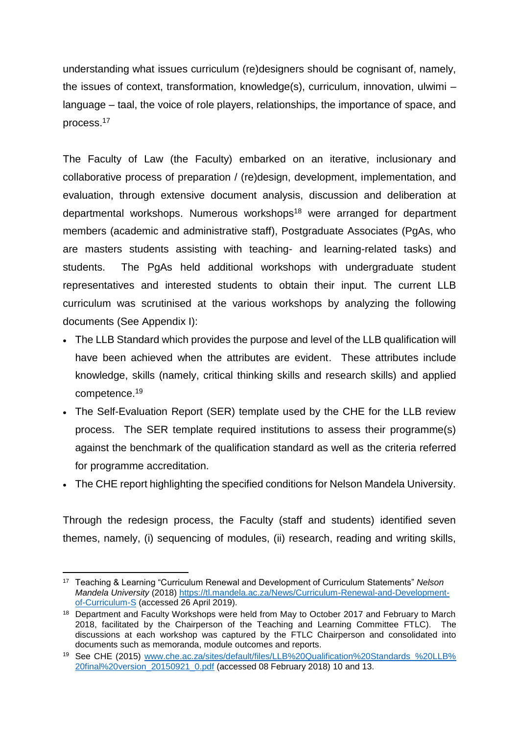understanding what issues curriculum (re)designers should be cognisant of, namely, the issues of context, transformation, knowledge(s), curriculum, innovation, ulwimi – language – taal, the voice of role players, relationships, the importance of space, and process.<sup>17</sup>

The Faculty of Law (the Faculty) embarked on an iterative, inclusionary and collaborative process of preparation / (re)design, development, implementation, and evaluation, through extensive document analysis, discussion and deliberation at departmental workshops. Numerous workshops<sup>18</sup> were arranged for department members (academic and administrative staff), Postgraduate Associates (PgAs, who are masters students assisting with teaching- and learning-related tasks) and students. The PgAs held additional workshops with undergraduate student representatives and interested students to obtain their input. The current LLB curriculum was scrutinised at the various workshops by analyzing the following documents (See Appendix I):

- The LLB Standard which provides the purpose and level of the LLB qualification will have been achieved when the attributes are evident. These attributes include knowledge, skills (namely, critical thinking skills and research skills) and applied competence.<sup>19</sup>
- The Self-Evaluation Report (SER) template used by the CHE for the LLB review process. The SER template required institutions to assess their programme(s) against the benchmark of the qualification standard as well as the criteria referred for programme accreditation.
- The CHE report highlighting the specified conditions for Nelson Mandela University.

Through the redesign process, the Faculty (staff and students) identified seven themes, namely, (i) sequencing of modules, (ii) research, reading and writing skills,

l <sup>17</sup> Teaching & Learning "Curriculum Renewal and Development of Curriculum Statements" *Nelson Mandela University* (2018) [https://tl.mandela.ac.za/News/Curriculum-Renewal-and-Development](https://tl.mandela.ac.za/News/Curriculum-Renewal-and-Development-of-Curriculum-S)[of-Curriculum-S](https://tl.mandela.ac.za/News/Curriculum-Renewal-and-Development-of-Curriculum-S) (accessed 26 April 2019).

<sup>&</sup>lt;sup>18</sup> Department and Faculty Workshops were held from May to October 2017 and February to March 2018, facilitated by the Chairperson of the Teaching and Learning Committee FTLC). The discussions at each workshop was captured by the FTLC Chairperson and consolidated into documents such as memoranda, module outcomes and reports.

<sup>19</sup> See CHE (2015) [www.che.ac.za/sites/default/files/LLB%20Qualification%20Standards\\_%20LLB%](http://www.che.ac.za/sites/default/files/LLB%20Qualification%20Standards_%20LLB%20final%20version_20150921_0.pdf) [20final%20version\\_20150921\\_0.pdf](http://www.che.ac.za/sites/default/files/LLB%20Qualification%20Standards_%20LLB%20final%20version_20150921_0.pdf) (accessed 08 February 2018) 10 and 13.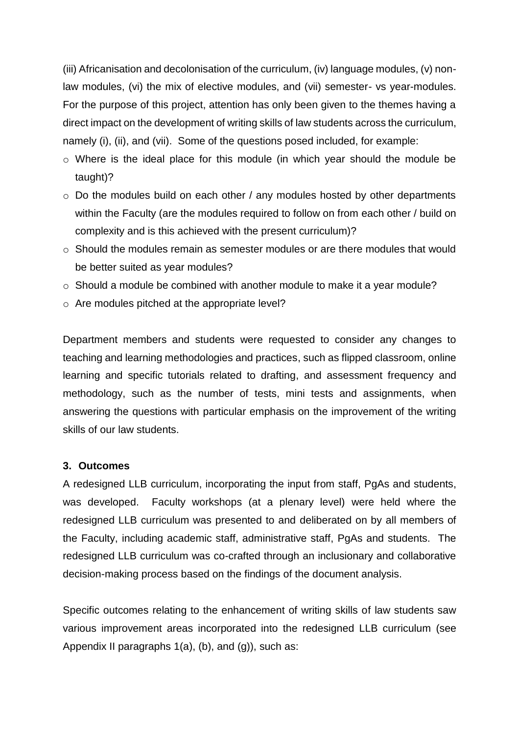(iii) Africanisation and decolonisation of the curriculum, (iv) language modules, (v) nonlaw modules, (vi) the mix of elective modules, and (vii) semester- vs year-modules. For the purpose of this project, attention has only been given to the themes having a direct impact on the development of writing skills of law students across the curriculum, namely (i), (ii), and (vii). Some of the questions posed included, for example:

- o Where is the ideal place for this module (in which year should the module be taught)?
- o Do the modules build on each other / any modules hosted by other departments within the Faculty (are the modules required to follow on from each other / build on complexity and is this achieved with the present curriculum)?
- $\circ$  Should the modules remain as semester modules or are there modules that would be better suited as year modules?
- o Should a module be combined with another module to make it a year module?
- o Are modules pitched at the appropriate level?

Department members and students were requested to consider any changes to teaching and learning methodologies and practices, such as flipped classroom, online learning and specific tutorials related to drafting, and assessment frequency and methodology, such as the number of tests, mini tests and assignments, when answering the questions with particular emphasis on the improvement of the writing skills of our law students.

#### **3. Outcomes**

A redesigned LLB curriculum, incorporating the input from staff, PgAs and students, was developed. Faculty workshops (at a plenary level) were held where the redesigned LLB curriculum was presented to and deliberated on by all members of the Faculty, including academic staff, administrative staff, PgAs and students. The redesigned LLB curriculum was co-crafted through an inclusionary and collaborative decision-making process based on the findings of the document analysis.

Specific outcomes relating to the enhancement of writing skills of law students saw various improvement areas incorporated into the redesigned LLB curriculum (see Appendix II paragraphs  $1(a)$ , (b), and  $(q)$ ), such as: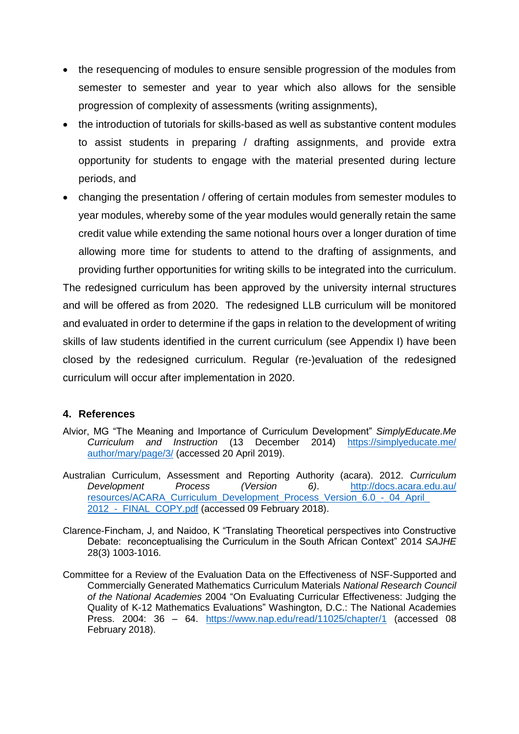- the resequencing of modules to ensure sensible progression of the modules from semester to semester and year to year which also allows for the sensible progression of complexity of assessments (writing assignments),
- the introduction of tutorials for skills-based as well as substantive content modules to assist students in preparing / drafting assignments, and provide extra opportunity for students to engage with the material presented during lecture periods, and
- changing the presentation / offering of certain modules from semester modules to year modules, whereby some of the year modules would generally retain the same credit value while extending the same notional hours over a longer duration of time allowing more time for students to attend to the drafting of assignments, and providing further opportunities for writing skills to be integrated into the curriculum.

The redesigned curriculum has been approved by the university internal structures and will be offered as from 2020. The redesigned LLB curriculum will be monitored and evaluated in order to determine if the gaps in relation to the development of writing skills of law students identified in the current curriculum (see Appendix I) have been closed by the redesigned curriculum. Regular (re-)evaluation of the redesigned curriculum will occur after implementation in 2020.

#### **4. References**

- Alvior, MG "The Meaning and Importance of Curriculum Development" *SimplyEducate.Me Curriculum and Instruction* (13 December 2014) [https://simplyeducate.me/](https://simplyeducate.me/author/mary/page/3/) [author/mary/page/3/](https://simplyeducate.me/author/mary/page/3/) (accessed 20 April 2019).
- Australian Curriculum, Assessment and Reporting Authority (acara). 2012. *Curriculum Development Process (Version 6)*. [http://docs.acara.edu.au/](http://docs.acara.edu.au/resources/ACARA_Curriculum_Development_Process_Version_6.0_-_04_April_2012_-_FINAL_COPY.pdf) [resources/ACARA\\_Curriculum\\_Development\\_Process\\_Version\\_6.0\\_-\\_04\\_April\\_](http://docs.acara.edu.au/resources/ACARA_Curriculum_Development_Process_Version_6.0_-_04_April_2012_-_FINAL_COPY.pdf) 2012 - FINAL COPY.pdf (accessed 09 February 2018).
- Clarence-Fincham, J, and Naidoo, K "Translating Theoretical perspectives into Constructive Debate: reconceptualising the Curriculum in the South African Context" 2014 *SAJHE* 28(3) 1003-1016.
- Committee for a Review of the Evaluation Data on the Effectiveness of NSF-Supported and Commercially Generated Mathematics Curriculum Materials *National Research Council of the National Academies* 2004 "On Evaluating Curricular Effectiveness: Judging the Quality of K-12 Mathematics Evaluations" Washington, D.C.: The National Academies Press. 2004: 36 – 64. <https://www.nap.edu/read/11025/chapter/1> (accessed 08 February 2018).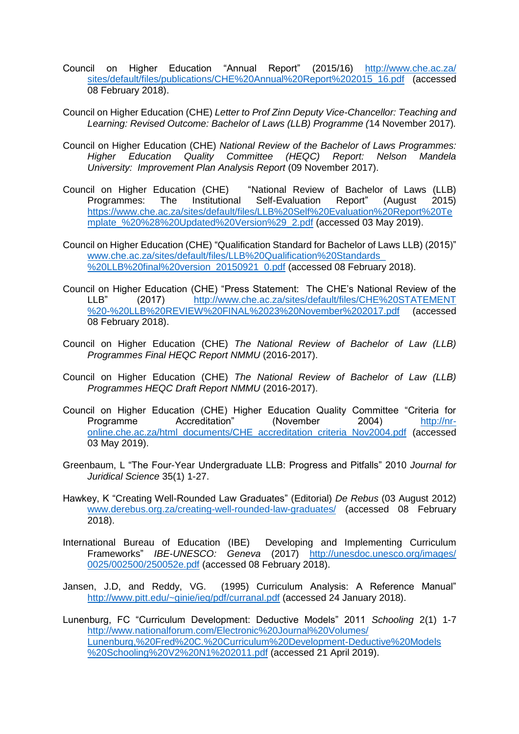- Council on Higher Education "Annual Report" (2015/16) [http://www.che.ac.za/](http://www.che.ac.za/sites/default/files/publications/CHE%20Annual%20Report%202015_16.pdf) [sites/default/files/publications/CHE%20Annual%20Report%202015\\_16.pdf](http://www.che.ac.za/sites/default/files/publications/CHE%20Annual%20Report%202015_16.pdf) (accessed 08 February 2018).
- Council on Higher Education (CHE) *Letter to Prof Zinn Deputy Vice-Chancellor: Teaching and Learning: Revised Outcome: Bachelor of Laws (LLB) Programme (*14 November 2017)*.*
- Council on Higher Education (CHE) *National Review of the Bachelor of Laws Programmes: Higher Education Quality Committee (HEQC) Report: Nelson Mandela University: Improvement Plan Analysis Report* (09 November 2017).
- Council on Higher Education (CHE) "National Review of Bachelor of Laws (LLB) Programmes: The Institutional Self-Evaluation Report" (August 2015) [https://www.che.ac.za/sites/default/files/LLB%20Self%20Evaluation%20Report%20Te](https://www.che.ac.za/sites/default/files/LLB%20Self%20Evaluation%20Report%20Template_%20%28%20Updated%20Version%29_2.pdf) mplate %20%28%20Updated%20Version%29 2.pdf (accessed 03 May 2019).
- Council on Higher Education (CHE) "Qualification Standard for Bachelor of Laws LLB) (2015)" [www.che.ac.za/sites/default/files/LLB%20Qualification%20Standards\\_](http://www.che.ac.za/sites/default/files/LLB%20Qualification%20Standards_%20LLB%20final%20version_20150921_0.pdf) [%20LLB%20final%20version\\_20150921\\_0.pdf](http://www.che.ac.za/sites/default/files/LLB%20Qualification%20Standards_%20LLB%20final%20version_20150921_0.pdf) (accessed 08 February 2018).
- Council on Higher Education (CHE) "Press Statement: The CHE's National Review of the LLB" (2017) [http://www.che.ac.za/sites/default/files/CHE%20STATEMENT](http://www.che.ac.za/sites/default/files/CHE%20STATEMENT%20-%20LLB%20REVIEW%20FINAL%2023%20November%202017.pdf) [%20-%20LLB%20REVIEW%20FINAL%2023%20November%202017.pdf](http://www.che.ac.za/sites/default/files/CHE%20STATEMENT%20-%20LLB%20REVIEW%20FINAL%2023%20November%202017.pdf) (accessed 08 February 2018).
- Council on Higher Education (CHE) *The National Review of Bachelor of Law (LLB) Programmes Final HEQC Report NMMU* (2016-2017).
- Council on Higher Education (CHE) *The National Review of Bachelor of Law (LLB) Programmes HEQC Draft Report NMMU* (2016-2017).
- Council on Higher Education (CHE) Higher Education Quality Committee "Criteria for Programme Accreditation" (November 2004) [http://nr](http://nr-online.che.ac.za/html_documents/CHE_accreditation_criteria_Nov2004.pdf)[online.che.ac.za/html\\_documents/CHE\\_accreditation\\_criteria\\_Nov2004.pdf](http://nr-online.che.ac.za/html_documents/CHE_accreditation_criteria_Nov2004.pdf) (accessed 03 May 2019).
- Greenbaum, L "The Four-Year Undergraduate LLB: Progress and Pitfalls" 2010 *Journal for Juridical Science* 35(1) 1-27.
- Hawkey, K "Creating Well-Rounded Law Graduates" (Editorial) *De Rebus* (03 August 2012) [www.derebus.org.za/creating-well-rounded-law-graduates/](http://www.derebus.org.za/creating-well-rounded-law-graduates/) (accessed 08 February 2018).
- International Bureau of Education (IBE) Developing and Implementing Curriculum Frameworks" *IBE-UNESCO: Geneva* (2017) [http://unesdoc.unesco.org/images/](http://unesdoc.unesco.org/images/0025/002500/250052e.pdf) [0025/002500/250052e.pdf](http://unesdoc.unesco.org/images/0025/002500/250052e.pdf) (accessed 08 February 2018).
- Jansen, J.D, and Reddy, VG. (1995) Curriculum Analysis: A Reference Manual" <http://www.pitt.edu/~ginie/ieq/pdf/curranal.pdf> (accessed 24 January 2018).
- Lunenburg, FC "Curriculum Development: Deductive Models" 2011 *Schooling* 2(1) 1-7 [http://www.nationalforum.com/Electronic%20Journal%20Volumes/](http://www.nationalforum.com/Electronic%20Journal%20Volumes/Lunenburg,%20Fred%20C.%20Curriculum%20Development-Deductive%20Models%20Schooling%20V2%20N1%202011.pdf) [Lunenburg,%20Fred%20C.%20Curriculum%20Development-Deductive%20Models](http://www.nationalforum.com/Electronic%20Journal%20Volumes/Lunenburg,%20Fred%20C.%20Curriculum%20Development-Deductive%20Models%20Schooling%20V2%20N1%202011.pdf) [%20Schooling%20V2%20N1%202011.pdf](http://www.nationalforum.com/Electronic%20Journal%20Volumes/Lunenburg,%20Fred%20C.%20Curriculum%20Development-Deductive%20Models%20Schooling%20V2%20N1%202011.pdf) (accessed 21 April 2019).